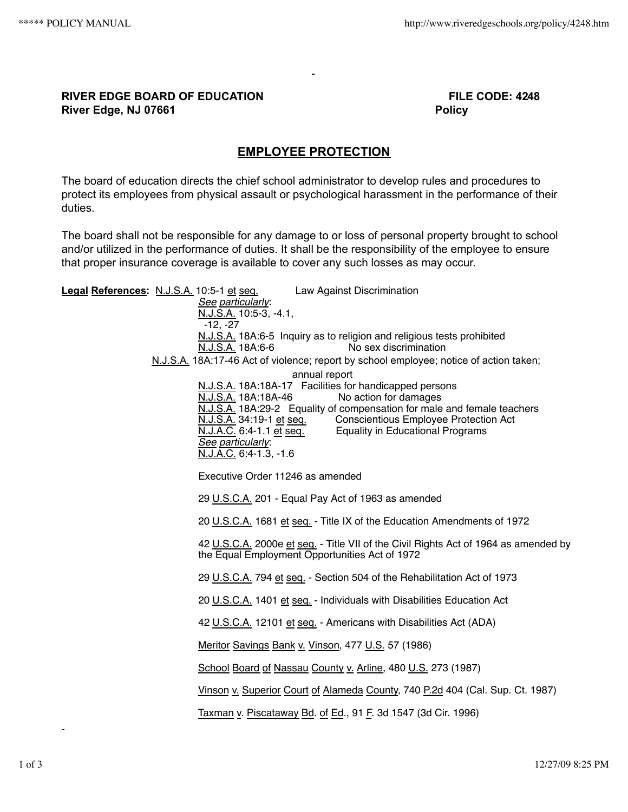## **RIVER EDGE BOARD OF EDUCATION FILE CODE: 4248 River Edge, NJ 07661 Policy**

## **EMPLOYEE PROTECTION**

The board of education directs the chief school administrator to develop rules and procedures to protect its employees from physical assault or psychological harassment in the performance of their duties.

The board shall not be responsible for any damage to or loss of personal property brought to school and/or utilized in the performance of duties. It shall be the responsibility of the employee to ensure that proper insurance coverage is available to cover any such losses as may occur.

**Legal References:** N.J.S.A. 10:5-1 et seq. Law Against Discrimination *See particularly*: N.J.S.A. 10:5‑3, ‑4.1,  $-12. -27$ N.J.S.A. 18A:6-5 Inquiry as to religion and religious tests prohibited N.J.S.A. 18A:6-6 No sex discrimination N.J.S.A. 18A:17‑46 Act of violence; report by school employee; notice of action taken; annual report N.J.S.A. 18A:18A-17 Facilities for handicapped persons<br>N.J.S.A. 18A:18A-46 No action for damages No action for damages N.J.S.A. 18A:29‑2 Equality of compensation for male and female teachers N.J.S.A. 34:19-1 et seq. Conscientious Employee Protection Act<br>N.J.A.C. 6:4-1.1 et seq. Equality in Educational Programs Equality in Educational Programs *See particularly*: N.J.A.C. 6:4‑1.3, ‑1.6 Executive Order 11246 as amended 29 U.S.C.A. 201 - Equal Pay Act of 1963 as amended 20 U.S.C.A. 1681 et seq. - Title IX of the Education Amendments of 1972 42 U.S.C.A. 2000e et seq. - Title VII of the Civil Rights Act of 1964 as amended by the Equal Employment Opportunities Act of 1972 29 U.S.C.A. 794 et seq. - Section 504 of the Rehabilitation Act of 1973 20 U.S.C.A. 1401 et seq. - Individuals with Disabilities Education Act 42 U.S.C.A. 12101 et seq. - Americans with Disabilities Act (ADA) Meritor Savings Bank v. Vinson, 477 U.S. 57 (1986) School Board of Nassau County v. Arline, 480 U.S. 273 (1987) Vinson v. Superior Court of Alameda County, 740 P.2d 404 (Cal. Sup. Ct. 1987) Taxman v. Piscataway Bd. of Ed., 91 F. 3d 1547 (3d Cir. 1996)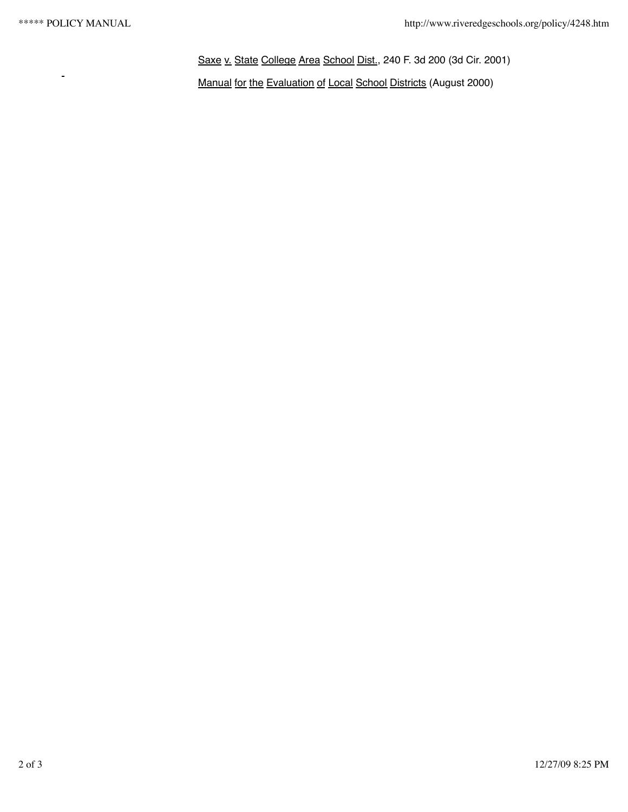Saxe v. State College Area School Dist., 240 F. 3d 200 (3d Cir. 2001) -<br>Manual for the Evaluation of Local School Districts (August 2000)